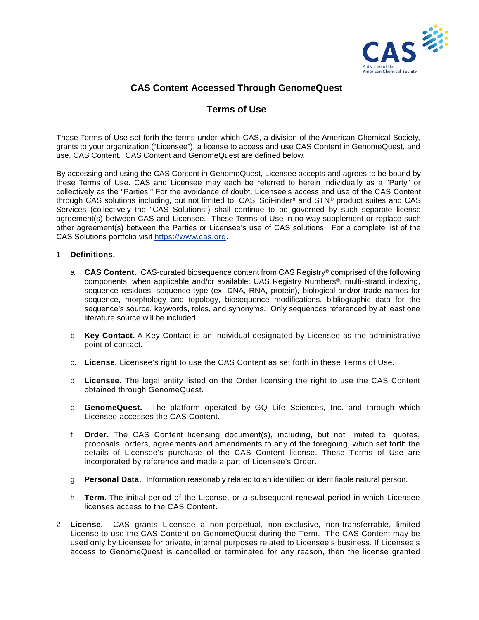

## **CAS Content Accessed Through GenomeQuest**

## **Terms of Use**

These Terms of Use set forth the terms under which CAS, a division of the American Chemical Society, grants to your organization ("Licensee"), a license to access and use CAS Content in GenomeQuest, and use, CAS Content. CAS Content and GenomeQuest are defined below.

By accessing and using the CAS Content in GenomeQuest, Licensee accepts and agrees to be bound by these Terms of Use. CAS and Licensee may each be referred to herein individually as a "Party" or collectively as the "Parties." For the avoidance of doubt, Licensee's access and use of the CAS Content through CAS solutions including, but not limited to, CAS' SciFinder<sup>n</sup> and STN<sup>®</sup> product suites and CAS Services (collectively the "CAS Solutions") shall continue to be governed by such separate license agreement(s) between CAS and Licensee. These Terms of Use in no way supplement or replace such other agreement(s) between the Parties or Licensee's use of CAS solutions. For a complete list of the CAS Solutions portfolio visit [https://www.cas.org.](https://www.cas.org/)

## 1. **Definitions.**

- a. **CAS Content.** CAS-curated biosequence content from CAS Registry® comprised of the following components, when applicable and/or available: CAS Registry Numbers®, multi-strand indexing, sequence residues, sequence type (ex. DNA, RNA, protein), biological and/or trade names for sequence, morphology and topology, biosequence modifications, bibliographic data for the sequence's source, keywords, roles, and synonyms. Only sequences referenced by at least one literature source will be included.
- b. **Key Contact.** A Key Contact is an individual designated by Licensee as the administrative point of contact.
- c. **License.** Licensee's right to use the CAS Content as set forth in these Terms of Use.
- d. **Licensee.** The legal entity listed on the Order licensing the right to use the CAS Content obtained through GenomeQuest.
- e. **GenomeQuest.** The platform operated by GQ Life Sciences, Inc. and through which Licensee accesses the CAS Content.
- f. **Order.** The CAS Content licensing document(s), including, but not limited to, quotes, proposals, orders, agreements and amendments to any of the foregoing, which set forth the details of Licensee's purchase of the CAS Content license. These Terms of Use are incorporated by reference and made a part of Licensee's Order.
- g. **Personal Data.** Information reasonably related to an identified or identifiable natural person.
- h. **Term.** The initial period of the License, or a subsequent renewal period in which Licensee licenses access to the CAS Content.
- 2. **License.** CAS grants Licensee a non-perpetual, non-exclusive, non-transferrable, limited License to use the CAS Content on GenomeQuest during the Term. The CAS Content may be used only by Licensee for private, internal purposes related to Licensee's business. If Licensee's access to GenomeQuest is cancelled or terminated for any reason, then the license granted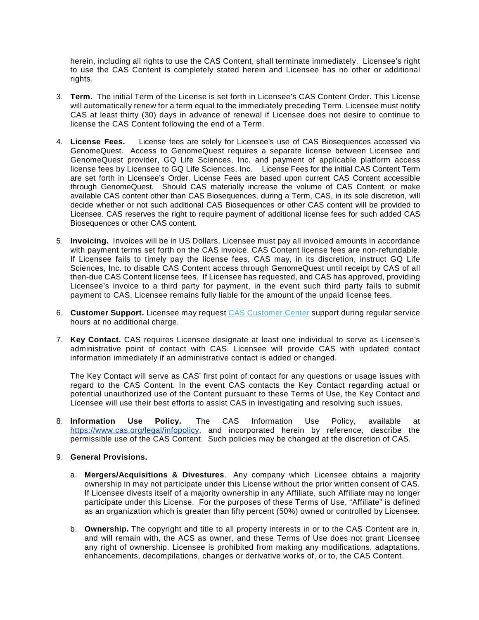herein, including all rights to use the CAS Content, shall terminate immediately. Licensee's right to use the CAS Content is completely stated herein and Licensee has no other or additional rights.

- 3. **Term.** The initial Term of the License is set forth in Licensee's CAS Content Order. This License will automatically renew for a term equal to the immediately preceding Term. Licensee must notify CAS at least thirty (30) days in advance of renewal if Licensee does not desire to continue to license the CAS Content following the end of a Term.
- 4. **License Fees.** License fees are solely for Licensee's use of CAS Biosequences accessed via GenomeQuest. Access to GenomeQuest requires a separate license between Licensee and GenomeQuest provider, GQ Life Sciences, Inc. and payment of applicable platform access license fees by Licensee to GQ Life Sciences, Inc. License Fees for the initial CAS Content Term are set forth in Licensee's Order. License Fees are based upon current CAS Content accessible through GenomeQuest. Should CAS materially increase the volume of CAS Content, or make available CAS content other than CAS Biosequences, during a Term, CAS, in its sole discretion, will decide whether or not such additional CAS Biosequences or other CAS content will be provided to Licensee. CAS reserves the right to require payment of additional license fees for such added CAS Biosequences or other CAS content.
- 5. **Invoicing.** Invoices will be in US Dollars. Licensee must pay all invoiced amounts in accordance with payment terms set forth on the CAS invoice. CAS Content license fees are non-refundable. If Licensee fails to timely pay the license fees, CAS may, in its discretion, instruct GQ Life Sciences, Inc. to disable CAS Content access through GenomeQuest until receipt by CAS of all then-due CAS Content license fees. If Licensee has requested, and CAS has approved, providing Licensee's invoice to a third party for payment, in the event such third party fails to submit payment to CAS, Licensee remains fully liable for the amount of the unpaid license fees.
- 6. **Customer Support.** Licensee may request [CAS Customer Center](https://www.cas.org/contact) support during regular service hours at no additional charge.
- 7. **Key Contact.** CAS requires Licensee designate at least one individual to serve as Licensee's administrative point of contact with CAS. Licensee will provide CAS with updated contact information immediately if an administrative contact is added or changed.

The Key Contact will serve as CAS' first point of contact for any questions or usage issues with regard to the CAS Content. In the event CAS contacts the Key Contact regarding actual or potential unauthorized use of the Content pursuant to these Terms of Use, the Key Contact and Licensee will use their best efforts to assist CAS in investigating and resolving such issues.

8. **Information Use Policy.** The CAS Information Use Policy, available at [https://www.cas.org/legal/infopolicy,](https://www.cas.org/sites/default/files/documents/Information-Use-Policy.pdf) and incorporated herein by reference, describe the permissible use of the CAS Content. Such policies may be changed at the discretion of CAS.

## 9. **General Provisions.**

- a. **Mergers/Acquisitions & Divestures**. Any company which Licensee obtains a majority ownership in may not participate under this License without the prior written consent of CAS. If Licensee divests itself of a majority ownership in any Affiliate, such Affiliate may no longer participate under this License. For the purposes of these Terms of Use, "Affiliate" is defined as an organization which is greater than fifty percent (50%) owned or controlled by Licensee.
- b. **Ownership.** The copyright and title to all property interests in or to the CAS Content are in, and will remain with, the ACS as owner, and these Terms of Use does not grant Licensee any right of ownership. Licensee is prohibited from making any modifications, adaptations, enhancements, decompilations, changes or derivative works of, or to, the CAS Content.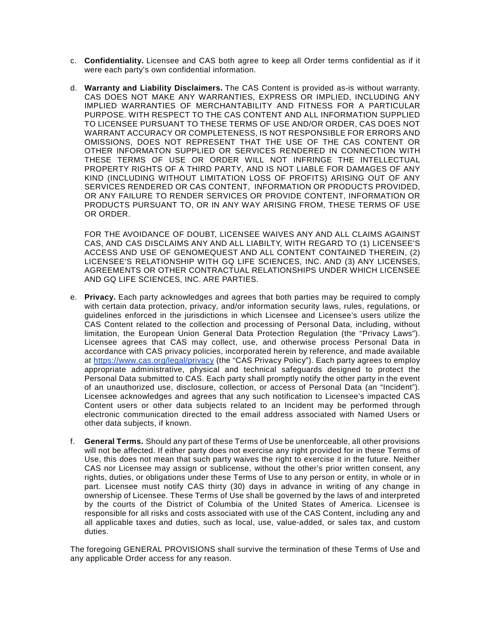- c. **Confidentiality.** Licensee and CAS both agree to keep all Order terms confidential as if it were each party's own confidential information.
- d. **Warranty and Liability Disclaimers.** The CAS Content is provided as-is without warranty. CAS DOES NOT MAKE ANY WARRANTIES, EXPRESS OR IMPLIED, INCLUDING ANY IMPLIED WARRANTIES OF MERCHANTABILITY AND FITNESS FOR A PARTICULAR PURPOSE. WITH RESPECT TO THE CAS CONTENT AND ALL INFORMATION SUPPLIED TO LICENSEE PURSUANT TO THESE TERMS OF USE AND/OR ORDER, CAS DOES NOT WARRANT ACCURACY OR COMPLETENESS, IS NOT RESPONSIBLE FOR ERRORS AND OMISSIONS, DOES NOT REPRESENT THAT THE USE OF THE CAS CONTENT OR OTHER INFORMATON SUPPLIED OR SERVICES RENDERED IN CONNECTION WITH THESE TERMS OF USE OR ORDER WILL NOT INFRINGE THE INTELLECTUAL PROPERTY RIGHTS OF A THIRD PARTY, AND IS NOT LIABLE FOR DAMAGES OF ANY KIND (INCLUDING WITHOUT LIMITATION LOSS OF PROFITS) ARISING OUT OF ANY SERVICES RENDERED OR CAS CONTENT, INFORMATION OR PRODUCTS PROVIDED, OR ANY FAILURE TO RENDER SERVICES OR PROVIDE CONTENT, INFORMATION OR PRODUCTS PURSUANT TO, OR IN ANY WAY ARISING FROM, THESE TERMS OF USE OR ORDER.

FOR THE AVOIDANCE OF DOUBT, LICENSEE WAIVES ANY AND ALL CLAIMS AGAINST CAS, AND CAS DISCLAIMS ANY AND ALL LIABILTY, WITH REGARD TO (1) LICENSEE'S ACCESS AND USE OF GENOMEQUEST AND ALL CONTENT CONTAINED THEREIN, (2) LICENSEE'S RELATIONSHIP WITH GQ LIFE SCIENCES, INC. AND (3) ANY LICENSES, AGREEMENTS OR OTHER CONTRACTUAL RELATIONSHIPS UNDER WHICH LICENSEE AND GQ LIFE SCIENCES, INC. ARE PARTIES.

- e. **Privacy.** Each party acknowledges and agrees that both parties may be required to comply with certain data protection, privacy, and/or information security laws, rules, regulations, or guidelines enforced in the jurisdictions in which Licensee and Licensee's users utilize the CAS Content related to the collection and processing of Personal Data, including, without limitation, the European Union General Data Protection Regulation (the "Privacy Laws"). Licensee agrees that CAS may collect, use, and otherwise process Personal Data in accordance with CAS privacy policies, incorporated herein by reference, and made available at <https://www.cas.org/legal/privacy> (the "CAS Privacy Policy"). Each party agrees to employ appropriate administrative, physical and technical safeguards designed to protect the Personal Data submitted to CAS. Each party shall promptly notify the other party in the event of an unauthorized use, disclosure, collection, or access of Personal Data (an "Incident"). Licensee acknowledges and agrees that any such notification to Licensee's impacted CAS Content users or other data subjects related to an Incident may be performed through electronic communication directed to the email address associated with Named Users or other data subjects, if known.
- f. **General Terms.** Should any part of these Terms of Use be unenforceable, all other provisions will not be affected. If either party does not exercise any right provided for in these Terms of Use, this does not mean that such party waives the right to exercise it in the future. Neither CAS nor Licensee may assign or sublicense, without the other's prior written consent, any rights, duties, or obligations under these Terms of Use to any person or entity, in whole or in part. Licensee must notify CAS thirty (30) days in advance in writing of any change in ownership of Licensee. These Terms of Use shall be governed by the laws of and interpreted by the courts of the District of Columbia of the United States of America. Licensee is responsible for all risks and costs associated with use of the CAS Content, including any and all applicable taxes and duties, such as local, use, value-added, or sales tax, and custom duties.

The foregoing GENERAL PROVISIONS shall survive the termination of these Terms of Use and any applicable Order access for any reason.